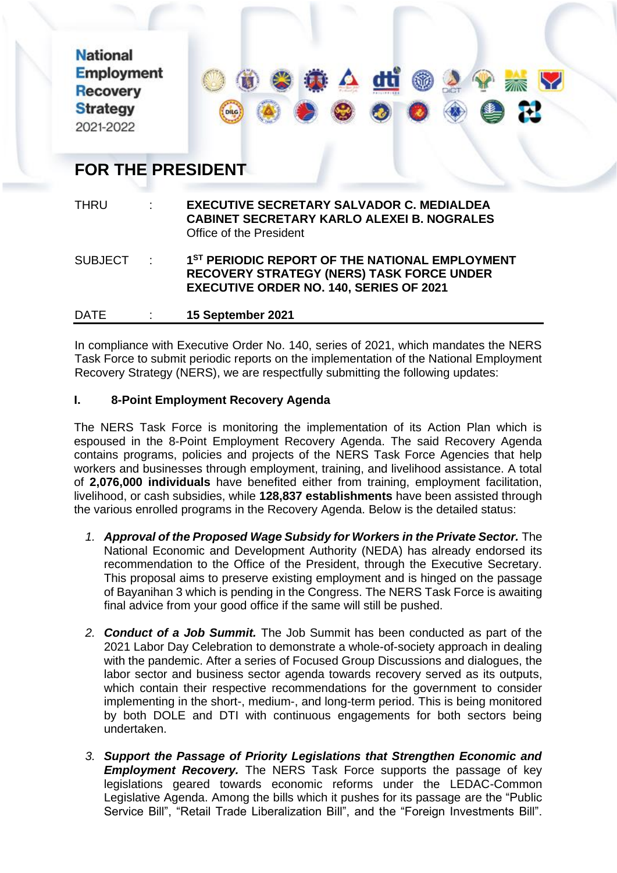**National Employment Recovery Strategy** 2021-2022



# **FOR THE PRESIDENT**

| <b>THRU</b>    | $\mathbb{R}^{n}$              | <b>EXECUTIVE SECRETARY SALVADOR C. MEDIALDEA</b><br><b>CABINET SECRETARY KARLO ALEXEI B. NOGRALES</b><br>Office of the President                                 |
|----------------|-------------------------------|------------------------------------------------------------------------------------------------------------------------------------------------------------------|
| <b>SUBJECT</b> | $\sim 10^{-10}$               | 1 <sup>ST</sup> PERIODIC REPORT OF THE NATIONAL EMPLOYMENT<br><b>RECOVERY STRATEGY (NERS) TASK FORCE UNDER</b><br><b>EXECUTIVE ORDER NO. 140, SERIES OF 2021</b> |
| <b>DATE</b>    | $\mathcal{L}^{\mathcal{L}}$ . | 15 September 2021                                                                                                                                                |

In compliance with Executive Order No. 140, series of 2021, which mandates the NERS Task Force to submit periodic reports on the implementation of the National Employment Recovery Strategy (NERS), we are respectfully submitting the following updates:

# **I. 8-Point Employment Recovery Agenda**

The NERS Task Force is monitoring the implementation of its Action Plan which is espoused in the 8-Point Employment Recovery Agenda. The said Recovery Agenda contains programs, policies and projects of the NERS Task Force Agencies that help workers and businesses through employment, training, and livelihood assistance. A total of **2,076,000 individuals** have benefited either from training, employment facilitation, livelihood, or cash subsidies, while **128,837 establishments** have been assisted through the various enrolled programs in the Recovery Agenda. Below is the detailed status:

- *1. Approval of the Proposed Wage Subsidy for Workers in the Private Sector.* The National Economic and Development Authority (NEDA) has already endorsed its recommendation to the Office of the President, through the Executive Secretary. This proposal aims to preserve existing employment and is hinged on the passage of Bayanihan 3 which is pending in the Congress. The NERS Task Force is awaiting final advice from your good office if the same will still be pushed.
- *2. Conduct of a Job Summit.* The Job Summit has been conducted as part of the 2021 Labor Day Celebration to demonstrate a whole-of-society approach in dealing with the pandemic. After a series of Focused Group Discussions and dialogues, the labor sector and business sector agenda towards recovery served as its outputs, which contain their respective recommendations for the government to consider implementing in the short-, medium-, and long-term period. This is being monitored by both DOLE and DTI with continuous engagements for both sectors being undertaken.
- *3. Support the Passage of Priority Legislations that Strengthen Economic and Employment Recovery.* The NERS Task Force supports the passage of key legislations geared towards economic reforms under the LEDAC-Common Legislative Agenda. Among the bills which it pushes for its passage are the "Public Service Bill", "Retail Trade Liberalization Bill", and the "Foreign Investments Bill".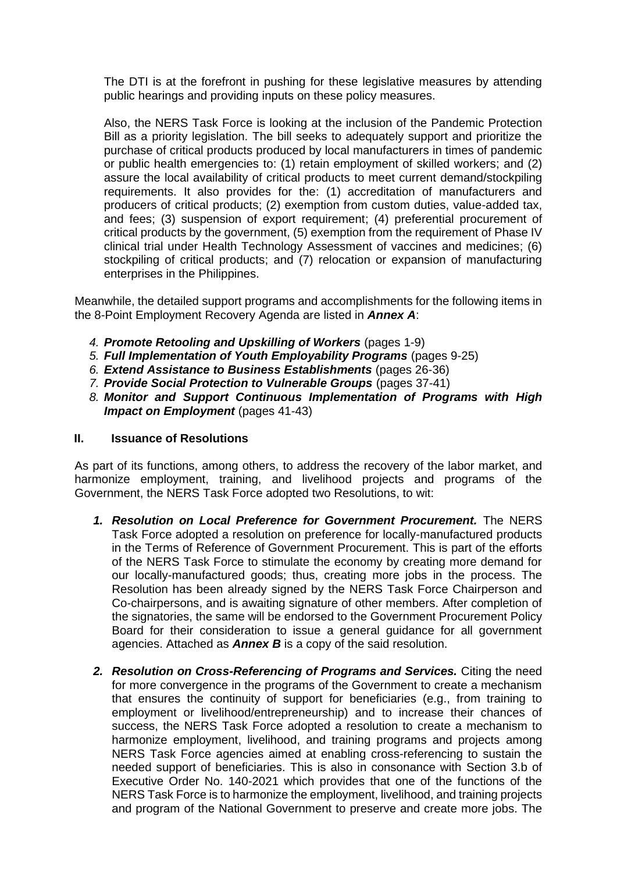The DTI is at the forefront in pushing for these legislative measures by attending public hearings and providing inputs on these policy measures.

Also, the NERS Task Force is looking at the inclusion of the Pandemic Protection Bill as a priority legislation. The bill seeks to adequately support and prioritize the purchase of critical products produced by local manufacturers in times of pandemic or public health emergencies to: (1) retain employment of skilled workers; and (2) assure the local availability of critical products to meet current demand/stockpiling requirements. It also provides for the: (1) accreditation of manufacturers and producers of critical products; (2) exemption from custom duties, value-added tax, and fees; (3) suspension of export requirement; (4) preferential procurement of critical products by the government, (5) exemption from the requirement of Phase IV clinical trial under Health Technology Assessment of vaccines and medicines; (6) stockpiling of critical products; and (7) relocation or expansion of manufacturing enterprises in the Philippines.

Meanwhile, the detailed support programs and accomplishments for the following items in the 8-Point Employment Recovery Agenda are listed in *Annex A*:

- *4. Promote Retooling and Upskilling of Workers* (pages 1-9)
- *5. Full Implementation of Youth Employability Programs* (pages 9-25)
- *6. Extend Assistance to Business Establishments* (pages 26-36)
- *7. Provide Social Protection to Vulnerable Groups* (pages 37-41)
- *8. Monitor and Support Continuous Implementation of Programs with High Impact on Employment (pages 41-43)*

### **II. Issuance of Resolutions**

As part of its functions, among others, to address the recovery of the labor market, and harmonize employment, training, and livelihood projects and programs of the Government, the NERS Task Force adopted two Resolutions, to wit:

- *1. Resolution on Local Preference for Government Procurement.* The NERS Task Force adopted a resolution on preference for locally-manufactured products in the Terms of Reference of Government Procurement. This is part of the efforts of the NERS Task Force to stimulate the economy by creating more demand for our locally-manufactured goods; thus, creating more jobs in the process. The Resolution has been already signed by the NERS Task Force Chairperson and Co-chairpersons, and is awaiting signature of other members. After completion of the signatories, the same will be endorsed to the Government Procurement Policy Board for their consideration to issue a general guidance for all government agencies. Attached as *Annex B* is a copy of the said resolution.
- *2. Resolution on Cross-Referencing of Programs and Services.* Citing the need for more convergence in the programs of the Government to create a mechanism that ensures the continuity of support for beneficiaries (e.g., from training to employment or livelihood/entrepreneurship) and to increase their chances of success, the NERS Task Force adopted a resolution to create a mechanism to harmonize employment, livelihood, and training programs and projects among NERS Task Force agencies aimed at enabling cross-referencing to sustain the needed support of beneficiaries. This is also in consonance with Section 3.b of Executive Order No. 140-2021 which provides that one of the functions of the NERS Task Force is to harmonize the employment, livelihood, and training projects and program of the National Government to preserve and create more jobs. The